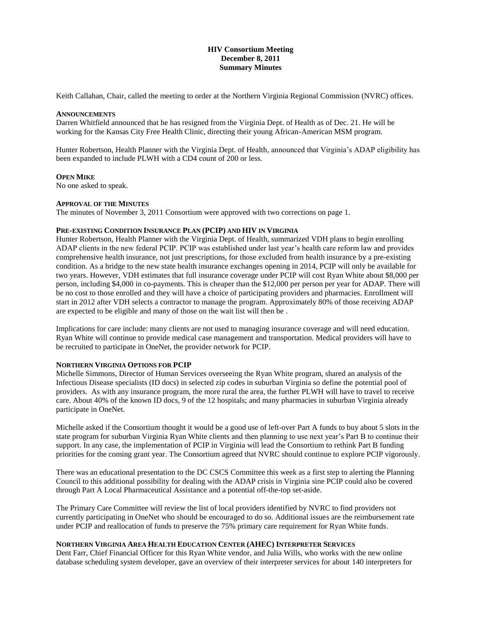### **HIV Consortium Meeting December 8, 2011 Summary Minutes**

Keith Callahan, Chair, called the meeting to order at the Northern Virginia Regional Commission (NVRC) offices.

#### **ANNOUNCEMENTS**

Darren Whitfield announced that he has resigned from the Virginia Dept. of Health as of Dec. 21. He will be working for the Kansas City Free Health Clinic, directing their young African-American MSM program.

Hunter Robertson, Health Planner with the Virginia Dept. of Health, announced that Virginia's ADAP eligibility has been expanded to include PLWH with a CD4 count of 200 or less.

#### **OPEN MIKE**

No one asked to speak.

#### **APPROVAL OF THE MINUTES**

The minutes of November 3, 2011 Consortium were approved with two corrections on page 1.

#### **PRE-EXISTING CONDITION INSURANCE PLAN (PCIP) AND HIV IN VIRGINIA**

Hunter Robertson, Health Planner with the Virginia Dept. of Health, summarized VDH plans to begin enrolling ADAP clients in the new federal PCIP. PCIP was established under last year's health care reform law and provides comprehensive health insurance, not just prescriptions, for those excluded from health insurance by a pre-existing condition. As a bridge to the new state health insurance exchanges opening in 2014, PCIP will only be available for two years. However, VDH estimates that full insurance coverage under PCIP will cost Ryan White about \$8,000 per person, including \$4,000 in co-payments. This is cheaper than the \$12,000 per person per year for ADAP. There will be no cost to those enrolled and they will have a choice of participating providers and pharmacies. Enrollment will start in 2012 after VDH selects a contractor to manage the program. Approximately 80% of those receiving ADAP are expected to be eligible and many of those on the wait list will then be .

Implications for care include: many clients are not used to managing insurance coverage and will need education. Ryan White will continue to provide medical case management and transportation. Medical providers will have to be recruited to participate in OneNet, the provider network for PCIP.

## **NORTHERN VIRGINIA OPTIONS FOR PCIP**

Michelle Simmons, Director of Human Services overseeing the Ryan White program, shared an analysis of the Infectious Disease specialists (ID docs) in selected zip codes in suburban Virginia so define the potential pool of providers. As with any insurance program, the more rural the area, the further PLWH will have to travel to receive care. About 40% of the known ID docs, 9 of the 12 hospitals; and many pharmacies in suburban Virginia already participate in OneNet.

Michelle asked if the Consortium thought it would be a good use of left-over Part A funds to buy about 5 slots in the state program for suburban Virginia Ryan White clients and then planning to use next year's Part B to continue their support. In any case, the implementation of PCIP in Virginia will lead the Consortium to rethink Part B funding priorities for the coming grant year. The Consortium agreed that NVRC should continue to explore PCIP vigorously.

There was an educational presentation to the DC CSCS Committee this week as a first step to alerting the Planning Council to this additional possibility for dealing with the ADAP crisis in Virginia sine PCIP could also be covered through Part A Local Pharmaceutical Assistance and a potential off-the-top set-aside.

The Primary Care Committee will review the list of local providers identified by NVRC to find providers not currently participating in OneNet who should be encouraged to do so. Additional issues are the reimbursement rate under PCIP and reallocation of funds to preserve the 75% primary care requirement for Ryan White funds.

## **NORTHERN VIRGINIA AREA HEALTH EDUCATION CENTER (AHEC) INTERPRETER SERVICES**

Dent Farr, Chief Financial Officer for this Ryan White vendor, and Julia Wills, who works with the new online database scheduling system developer, gave an overview of their interpreter services for about 140 interpreters for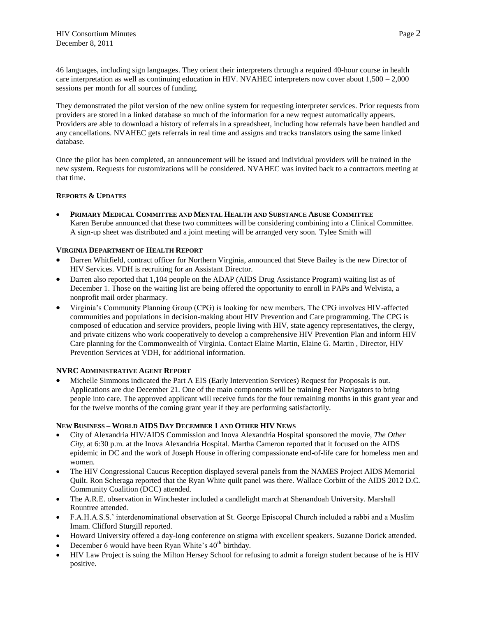46 languages, including sign languages. They orient their interpreters through a required 40-hour course in health care interpretation as well as continuing education in HIV. NVAHEC interpreters now cover about 1,500 – 2,000 sessions per month for all sources of funding.

They demonstrated the pilot version of the new online system for requesting interpreter services. Prior requests from providers are stored in a linked database so much of the information for a new request automatically appears. Providers are able to download a history of referrals in a spreadsheet, including how referrals have been handled and any cancellations. NVAHEC gets referrals in real time and assigns and tracks translators using the same linked database.

Once the pilot has been completed, an announcement will be issued and individual providers will be trained in the new system. Requests for customizations will be considered. NVAHEC was invited back to a contractors meeting at that time.

## **REPORTS & UPDATES**

 **PRIMARY MEDICAL COMMITTEE AND MENTAL HEALTH AND SUBSTANCE ABUSE COMMITTEE** Karen Berube announced that these two committees will be considering combining into a Clinical Committee. A sign-up sheet was distributed and a joint meeting will be arranged very soon. Tylee Smith will

# **VIRGINIA DEPARTMENT OF HEALTH REPORT**

- Darren Whitfield, contract officer for Northern Virginia, announced that Steve Bailey is the new Director of HIV Services. VDH is recruiting for an Assistant Director.
- Darren also reported that 1,104 people on the ADAP (AIDS Drug Assistance Program) waiting list as of December 1. Those on the waiting list are being offered the opportunity to enroll in PAPs and Welvista, a nonprofit mail order pharmacy.
- Virginia's Community Planning Group (CPG) is looking for new members. The CPG involves HIV-affected communities and populations in decision-making about HIV Prevention and Care programming. The CPG is composed of education and service providers, people living with HIV, state agency representatives, the clergy, and private citizens who work cooperatively to develop a comprehensive HIV Prevention Plan and inform HIV Care planning for the Commonwealth of Virginia. Contact Elaine Martin, Elaine G. Martin , Director, HIV Prevention Services at VDH, for additional information.

## **NVRC ADMINISTRATIVE AGENT REPORT**

 Michelle Simmons indicated the Part A EIS (Early Intervention Services) Request for Proposals is out. Applications are due December 21. One of the main components will be training Peer Navigators to bring people into care. The approved applicant will receive funds for the four remaining months in this grant year and for the twelve months of the coming grant year if they are performing satisfactorily.

## **NEW BUSINESS – WORLD AIDS DAY DECEMBER 1 AND OTHER HIV NEWS**

- City of Alexandria HIV/AIDS Commission and Inova Alexandria Hospital sponsored the movie, *The Other City*, at 6:30 p.m. at the Inova Alexandria Hospital. Martha Cameron reported that it focused on the AIDS epidemic in DC and the work of Joseph House in offering compassionate end-of-life care for homeless men and women.
- The HIV Congressional Caucus Reception displayed several panels from the NAMES Project AIDS Memorial Quilt. Ron Scheraga reported that the Ryan White quilt panel was there. Wallace Corbitt of the AIDS 2012 D.C. Community Coalition (DCC) attended.
- The A.R.E. observation in Winchester included a candlelight march at Shenandoah University. Marshall Rountree attended.
- F.A.H.A.S.S.' interdenominational observation at St. George Episcopal Church included a rabbi and a Muslim Imam. Clifford Sturgill reported.
- Howard University offered a day-long conference on stigma with excellent speakers. Suzanne Dorick attended.
- December 6 would have been Ryan White's 40<sup>th</sup> birthday.
- HIV Law Project is suing the Milton Hersey School for refusing to admit a foreign student because of he is HIV positive.